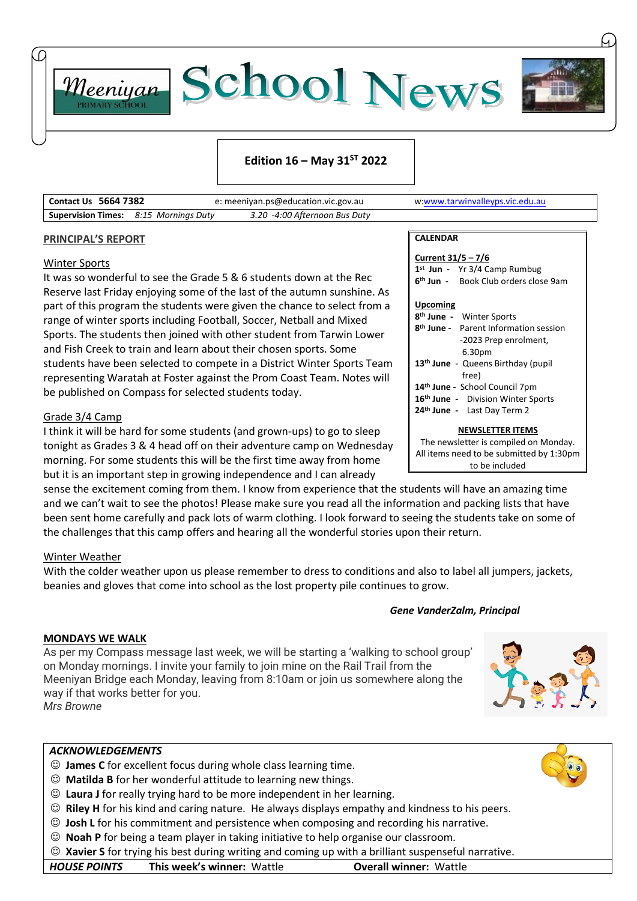



## **Edition 16 – May 31ST 2022**

| <b>Contact Us 5664 7382</b> |                                              | e: meeniyan.ps@education.vic.gov.au | w:www.tarwinvalleyps.vic.edu.au |
|-----------------------------|----------------------------------------------|-------------------------------------|---------------------------------|
|                             | <b>Supervision Times:</b> 8:15 Mornings Duty | 3.20 -4:00 Afternoon Bus Duty       |                                 |

### **PRINCIPAL'S REPORT**

### Winter Sports

It was so wonderful to see the Grade 5 & 6 students down at the Rec Reserve last Friday enjoying some of the last of the autumn sunshine. As part of this program the students were given the chance to select from a range of winter sports including Football, Soccer, Netball and Mixed Sports. The students then joined with other student from Tarwin Lower and Fish Creek to train and learn about their chosen sports. Some students have been selected to compete in a District Winter Sports Team representing Waratah at Foster against the Prom Coast Team. Notes will be published on Compass for selected students today.

## Grade 3/4 Camp

I think it will be hard for some students (and grown-ups) to go to sleep tonight as Grades 3 & 4 head off on their adventure camp on Wednesday morning. For some students this will be the first time away from home but it is an important step in growing independence and I can already

sense the excitement coming from them. I know from experience that the students will have an amazing time and we can't wait to see the photos! Please make sure you read all the information and packing lists that have been sent home carefully and pack lots of warm clothing. I look forward to seeing the students take on some of the challenges that this camp offers and hearing all the wonderful stories upon their return.

## Winter Weather

With the colder weather upon us please remember to dress to conditions and also to label all jumpers, jackets, beanies and gloves that come into school as the lost property pile continues to grow.

### *Gene VanderZalm, Principal*

**CALENDAR**

**Upcoming**

**Current 31/5 – 7/6**

**1 st Jun -** Yr 3/4 Camp Rumbug **6 th Jun -** Book Club orders close 9am

**8 th June -** Parent Information session -2023 Prep enrolment,

**NEWSLETTER ITEMS** The newsletter is compiled on Monday. All items need to be submitted by 1:30pm to be included

**8 th June -** Winter Sports

 6.30pm **th June** - Queens Birthday (pupil free) **th June -** School Council 7pm **th June -** Division Winter Sports **th June -** Last Day Term 2

## **MONDAYS WE WALK**

As per my Compass message last week, we will be starting a 'walking on Monday mornings. I invite your family to join mine on the Rail Trail Meeniyan Bridge each Monday, leaving from 8:10am or join us somev way if that works better for you. *Mrs Browne*



- ☺ **James C** for excellent focus during whole class learning time.
- ☺ **Matilda B** for her wonderful attitude to learning new things.
- ☺ **Laura J** for really trying hard to be more independent in her learning.
- ☺ **Riley H** for his kind and caring nature. He always displays empathy and kindness to his peers.
- ☺ **Josh L** for his commitment and persistence when composing and recording his narrative.
- ☺ **Noah P** for being a team player in taking initiative to help organise our classroom.
- ☺ **Xavier S** for trying his best during writing and coming up with a brilliant suspenseful narrative.

| g to school group'<br>from the<br>where along the |  |
|---------------------------------------------------|--|
|                                                   |  |

| <b>HOUSE POINTS</b> | <b>This week's winner: Wattle</b> | <b>Overall winner: Wattle</b> |
|---------------------|-----------------------------------|-------------------------------|
|---------------------|-----------------------------------|-------------------------------|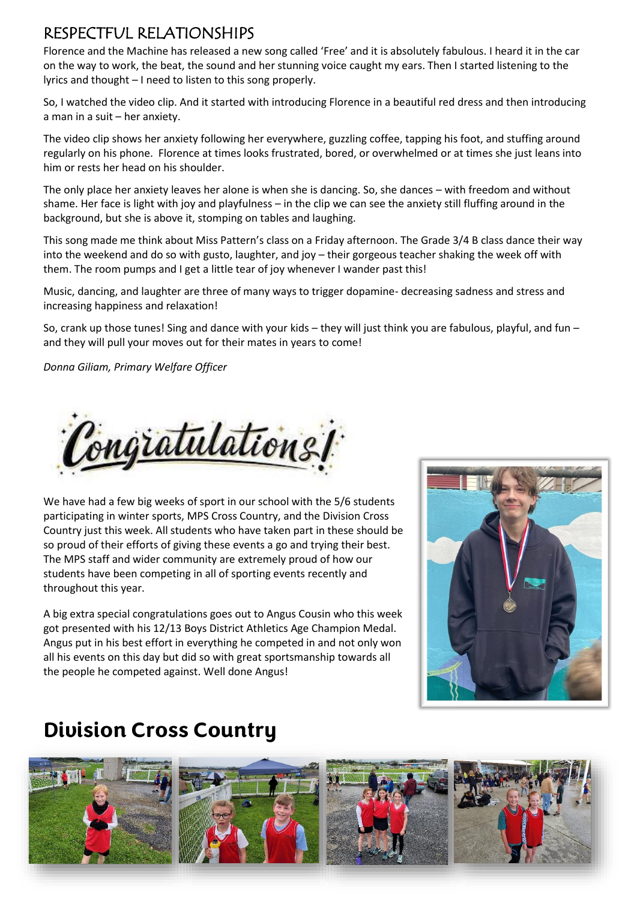## RESPECTFUL RELATIONSHIPS

Florence and the Machine has released a new song called 'Free' and it is absolutely fabulous. I heard it in the car on the way to work, the beat, the sound and her stunning voice caught my ears. Then I started listening to the lyrics and thought – I need to listen to this song properly.

So, I watched the video clip. And it started with introducing Florence in a beautiful red dress and then introducing a man in a suit – her anxiety.

The video clip shows her anxiety following her everywhere, guzzling coffee, tapping his foot, and stuffing around regularly on his phone. Florence at times looks frustrated, bored, or overwhelmed or at times she just leans into him or rests her head on his shoulder.

The only place her anxiety leaves her alone is when she is dancing. So, she dances – with freedom and without shame. Her face is light with joy and playfulness – in the clip we can see the anxiety still fluffing around in the background, but she is above it, stomping on tables and laughing.

This song made me think about Miss Pattern's class on a Friday afternoon. The Grade 3/4 B class dance their way into the weekend and do so with gusto, laughter, and joy – their gorgeous teacher shaking the week off with them. The room pumps and I get a little tear of joy whenever I wander past this!

Music, dancing, and laughter are three of many ways to trigger dopamine- decreasing sadness and stress and increasing happiness and relaxation!

So, crank up those tunes! Sing and dance with your kids – they will just think you are fabulous, playful, and fun – and they will pull your moves out for their mates in years to come!

*Donna Giliam, Primary Welfare Officer*



We have had a few big weeks of sport in our school with the 5/6 students participating in winter sports, MPS Cross Country, and the Division Cross Country just this week. All students who have taken part in these should be so proud of their efforts of giving these events a go and trying their best. The MPS staff and wider community are extremely proud of how our students have been competing in all of sporting events recently and throughout this year.

A big extra special congratulations goes out to Angus Cousin who this week got presented with his 12/13 Boys District Athletics Age Champion Medal. Angus put in his best effort in everything he competed in and not only won all his events on this day but did so with great sportsmanship towards all the people he competed against. Well done Angus!



## **Division Cross Country**

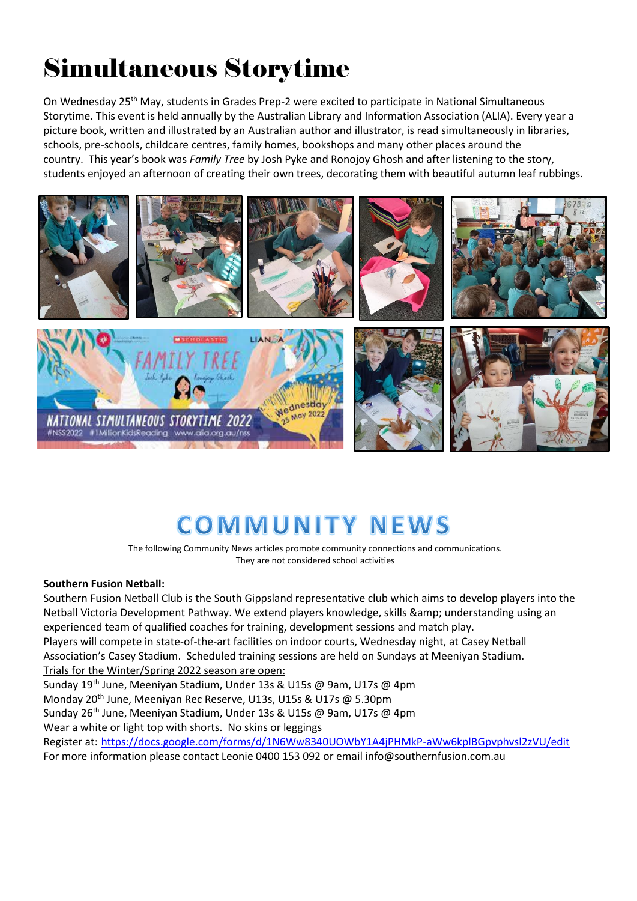# Simultaneous Storytime

On Wednesday 25<sup>th</sup> May, students in Grades Prep-2 were excited to participate in National Simultaneous Storytime. This event is held annually by the Australian Library and Information Association (ALIA). Every year a picture book, written and illustrated by an Australian author and illustrator, is read simultaneously in libraries, schools, pre-schools, childcare centres, family homes, bookshops and many other places around the country. This year's book was *Family Tree* by Josh Pyke and Ronojoy Ghosh and after listening to the story, students enjoyed an afternoon of creating their own trees, decorating them with beautiful autumn leaf rubbings.



# **COMMUNITY NEWS**

The following Community News articles promote community connections and communications. They are not considered school activities

## **Southern Fusion Netball:**

Southern Fusion Netball Club is the South Gippsland representative club which aims to develop players into the Netball Victoria Development Pathway. We extend players knowledge, skills & amp; understanding using an experienced team of qualified coaches for training, development sessions and match play. Players will compete in state-of-the-art facilities on indoor courts, Wednesday night, at Casey Netball

Association's Casey Stadium. Scheduled training sessions are held on Sundays at Meeniyan Stadium. Trials for the Winter/Spring 2022 season are open:

Sunday 19th June, Meeniyan Stadium, Under 13s & U15s @ 9am, U17s @ 4pm

Monday 20<sup>th</sup> June, Meeniyan Rec Reserve, U13s, U15s & U17s @ 5.30pm

Sunday 26<sup>th</sup> June, Meeniyan Stadium, Under 13s & U15s @ 9am, U17s @ 4pm

Wear a white or light top with shorts. No skins or leggings

Register at: <https://docs.google.com/forms/d/1N6Ww8340UOWbY1A4jPHMkP-aWw6kplBGpvphvsl2zVU/edit> For more information please contact Leonie 0400 153 092 or email info@southernfusion.com.au